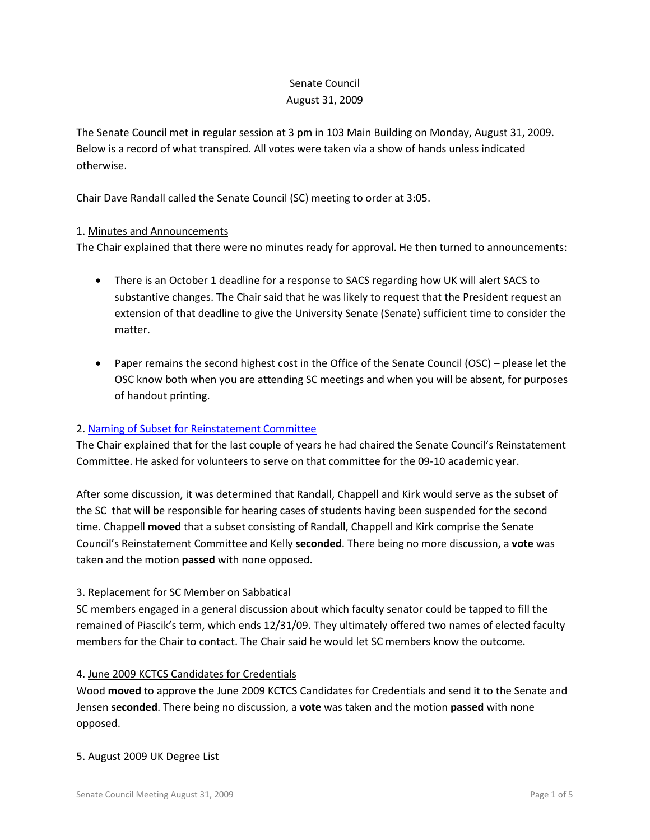# Senate Council August 31, 2009

The Senate Council met in regular session at 3 pm in 103 Main Building on Monday, August 31, 2009. Below is a record of what transpired. All votes were taken via a show of hands unless indicated otherwise.

Chair Dave Randall called the Senate Council (SC) meeting to order at 3:05.

## 1. Minutes and Announcements

The Chair explained that there were no minutes ready for approval. He then turned to announcements:

- There is an October 1 deadline for a response to SACS regarding how UK will alert SACS to substantive changes. The Chair said that he was likely to request that the President request an extension of that deadline to give the University Senate (Senate) sufficient time to consider the matter.
- Paper remains the second highest cost in the Office of the Senate Council (OSC) please let the OSC know both when you are attending SC meetings and when you will be absent, for purposes of handout printing.

## 2. [Naming of Subset for Reinstatement Committee](http://www.uky.edu/Faculty/Senate/files/Meetings/20090831/Reinstatement%20Cmte.pdf)

The Chair explained that for the last couple of years he had chaired the Senate Council's Reinstatement Committee. He asked for volunteers to serve on that committee for the 09-10 academic year.

After some discussion, it was determined that Randall, Chappell and Kirk would serve as the subset of the SC that will be responsible for hearing cases of students having been suspended for the second time. Chappell **moved** that a subset consisting of Randall, Chappell and Kirk comprise the Senate Council's Reinstatement Committee and Kelly **seconded**. There being no more discussion, a **vote** was taken and the motion **passed** with none opposed.

## 3. Replacement for SC Member on Sabbatical

SC members engaged in a general discussion about which faculty senator could be tapped to fill the remained of Piascik's term, which ends 12/31/09. They ultimately offered two names of elected faculty members for the Chair to contact. The Chair said he would let SC members know the outcome.

## 4. June 2009 KCTCS Candidates for Credentials

Wood **moved** to approve the June 2009 KCTCS Candidates for Credentials and send it to the Senate and Jensen **seconded**. There being no discussion, a **vote** was taken and the motion **passed** with none opposed.

### 5. August 2009 UK Degree List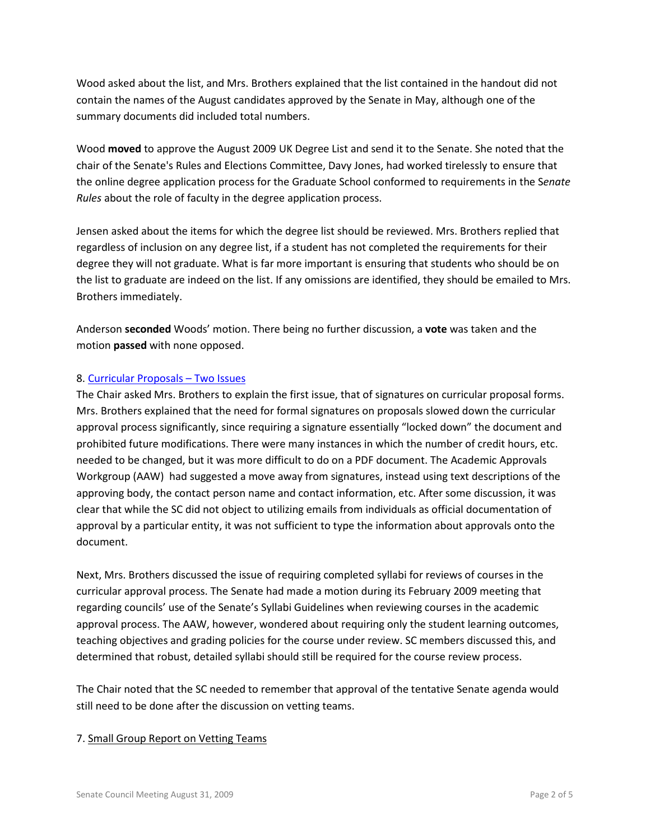Wood asked about the list, and Mrs. Brothers explained that the list contained in the handout did not contain the names of the August candidates approved by the Senate in May, although one of the summary documents did included total numbers.

Wood **moved** to approve the August 2009 UK Degree List and send it to the Senate. She noted that the chair of the Senate's Rules and Elections Committee, Davy Jones, had worked tirelessly to ensure that the online degree application process for the Graduate School conformed to requirements in the S*enate Rules* about the role of faculty in the degree application process.

Jensen asked about the items for which the degree list should be reviewed. Mrs. Brothers replied that regardless of inclusion on any degree list, if a student has not completed the requirements for their degree they will not graduate. What is far more important is ensuring that students who should be on the list to graduate are indeed on the list. If any omissions are identified, they should be emailed to Mrs. Brothers immediately.

Anderson **seconded** Woods' motion. There being no further discussion, a **vote** was taken and the motion **passed** with none opposed.

## 8. [Curricular Proposals –](http://www.uky.edu/Faculty/Senate/files/Meetings/20090831/Sigs-Syll.pdf) Two Issues

The Chair asked Mrs. Brothers to explain the first issue, that of signatures on curricular proposal forms. Mrs. Brothers explained that the need for formal signatures on proposals slowed down the curricular approval process significantly, since requiring a signature essentially "locked down" the document and prohibited future modifications. There were many instances in which the number of credit hours, etc. needed to be changed, but it was more difficult to do on a PDF document. The Academic Approvals Workgroup (AAW) had suggested a move away from signatures, instead using text descriptions of the approving body, the contact person name and contact information, etc. After some discussion, it was clear that while the SC did not object to utilizing emails from individuals as official documentation of approval by a particular entity, it was not sufficient to type the information about approvals onto the document.

Next, Mrs. Brothers discussed the issue of requiring completed syllabi for reviews of courses in the curricular approval process. The Senate had made a motion during its February 2009 meeting that regarding councils' use of the Senate's Syllabi Guidelines when reviewing courses in the academic approval process. The AAW, however, wondered about requiring only the student learning outcomes, teaching objectives and grading policies for the course under review. SC members discussed this, and determined that robust, detailed syllabi should still be required for the course review process.

The Chair noted that the SC needed to remember that approval of the tentative Senate agenda would still need to be done after the discussion on vetting teams.

## 7. Small Group Report on Vetting Teams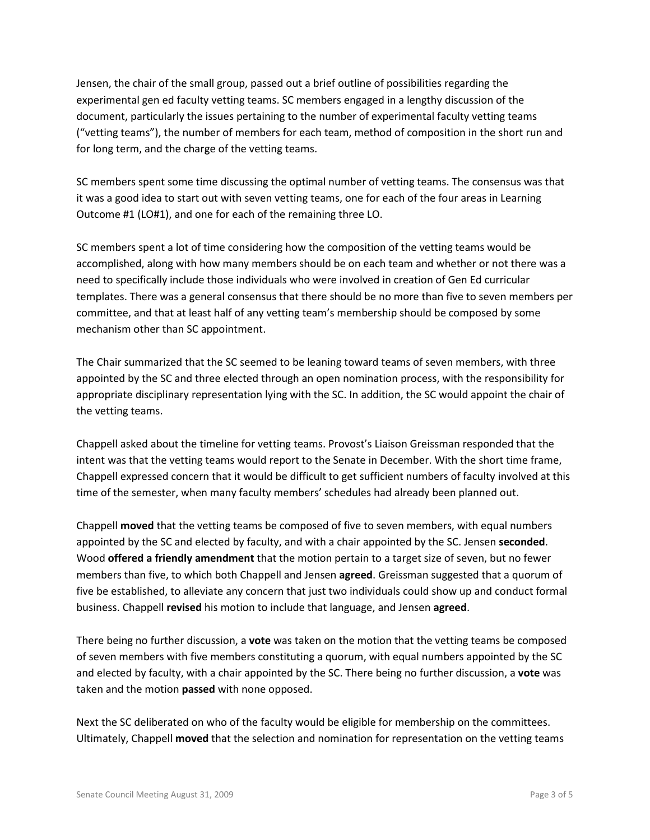Jensen, the chair of the small group, passed out a brief outline of possibilities regarding the experimental gen ed faculty vetting teams. SC members engaged in a lengthy discussion of the document, particularly the issues pertaining to the number of experimental faculty vetting teams ("vetting teams"), the number of members for each team, method of composition in the short run and for long term, and the charge of the vetting teams.

SC members spent some time discussing the optimal number of vetting teams. The consensus was that it was a good idea to start out with seven vetting teams, one for each of the four areas in Learning Outcome #1 (LO#1), and one for each of the remaining three LO.

SC members spent a lot of time considering how the composition of the vetting teams would be accomplished, along with how many members should be on each team and whether or not there was a need to specifically include those individuals who were involved in creation of Gen Ed curricular templates. There was a general consensus that there should be no more than five to seven members per committee, and that at least half of any vetting team's membership should be composed by some mechanism other than SC appointment.

The Chair summarized that the SC seemed to be leaning toward teams of seven members, with three appointed by the SC and three elected through an open nomination process, with the responsibility for appropriate disciplinary representation lying with the SC. In addition, the SC would appoint the chair of the vetting teams.

Chappell asked about the timeline for vetting teams. Provost's Liaison Greissman responded that the intent was that the vetting teams would report to the Senate in December. With the short time frame, Chappell expressed concern that it would be difficult to get sufficient numbers of faculty involved at this time of the semester, when many faculty members' schedules had already been planned out.

Chappell **moved** that the vetting teams be composed of five to seven members, with equal numbers appointed by the SC and elected by faculty, and with a chair appointed by the SC. Jensen **seconded**. Wood **offered a friendly amendment** that the motion pertain to a target size of seven, but no fewer members than five, to which both Chappell and Jensen **agreed**. Greissman suggested that a quorum of five be established, to alleviate any concern that just two individuals could show up and conduct formal business. Chappell **revised** his motion to include that language, and Jensen **agreed**.

There being no further discussion, a **vote** was taken on the motion that the vetting teams be composed of seven members with five members constituting a quorum, with equal numbers appointed by the SC and elected by faculty, with a chair appointed by the SC. There being no further discussion, a **vote** was taken and the motion **passed** with none opposed.

Next the SC deliberated on who of the faculty would be eligible for membership on the committees. Ultimately, Chappell **moved** that the selection and nomination for representation on the vetting teams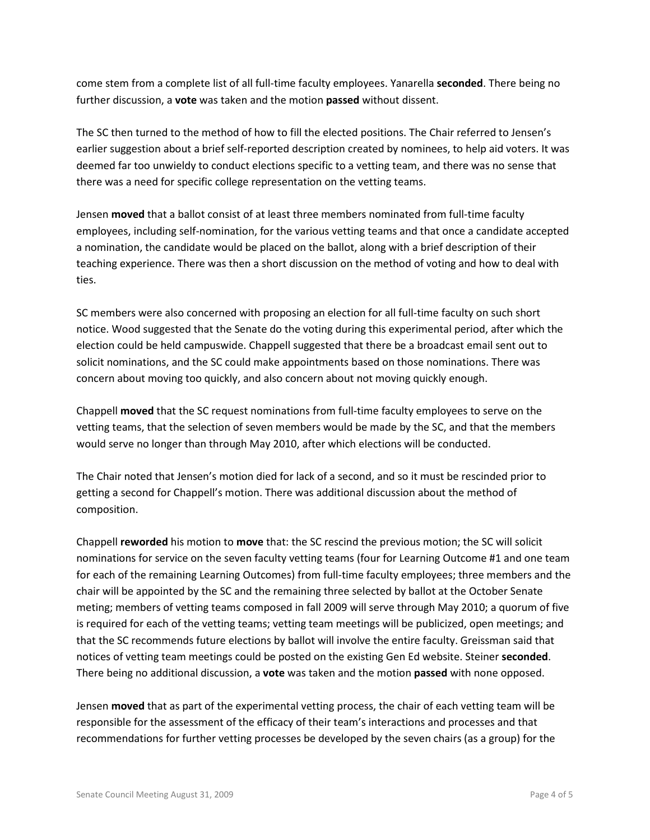come stem from a complete list of all full-time faculty employees. Yanarella **seconded**. There being no further discussion, a **vote** was taken and the motion **passed** without dissent.

The SC then turned to the method of how to fill the elected positions. The Chair referred to Jensen's earlier suggestion about a brief self-reported description created by nominees, to help aid voters. It was deemed far too unwieldy to conduct elections specific to a vetting team, and there was no sense that there was a need for specific college representation on the vetting teams.

Jensen **moved** that a ballot consist of at least three members nominated from full-time faculty employees, including self-nomination, for the various vetting teams and that once a candidate accepted a nomination, the candidate would be placed on the ballot, along with a brief description of their teaching experience. There was then a short discussion on the method of voting and how to deal with ties.

SC members were also concerned with proposing an election for all full-time faculty on such short notice. Wood suggested that the Senate do the voting during this experimental period, after which the election could be held campuswide. Chappell suggested that there be a broadcast email sent out to solicit nominations, and the SC could make appointments based on those nominations. There was concern about moving too quickly, and also concern about not moving quickly enough.

Chappell **moved** that the SC request nominations from full-time faculty employees to serve on the vetting teams, that the selection of seven members would be made by the SC, and that the members would serve no longer than through May 2010, after which elections will be conducted.

The Chair noted that Jensen's motion died for lack of a second, and so it must be rescinded prior to getting a second for Chappell's motion. There was additional discussion about the method of composition.

Chappell **reworded** his motion to **move** that: the SC rescind the previous motion; the SC will solicit nominations for service on the seven faculty vetting teams (four for Learning Outcome #1 and one team for each of the remaining Learning Outcomes) from full-time faculty employees; three members and the chair will be appointed by the SC and the remaining three selected by ballot at the October Senate meting; members of vetting teams composed in fall 2009 will serve through May 2010; a quorum of five is required for each of the vetting teams; vetting team meetings will be publicized, open meetings; and that the SC recommends future elections by ballot will involve the entire faculty. Greissman said that notices of vetting team meetings could be posted on the existing Gen Ed website. Steiner **seconded**. There being no additional discussion, a **vote** was taken and the motion **passed** with none opposed.

Jensen **moved** that as part of the experimental vetting process, the chair of each vetting team will be responsible for the assessment of the efficacy of their team's interactions and processes and that recommendations for further vetting processes be developed by the seven chairs (as a group) for the